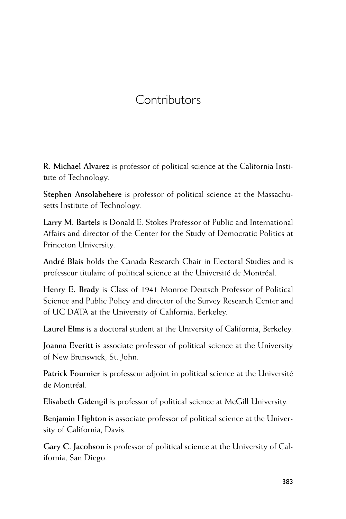## **Contributors**

**R. Michael Alvarez** is professor of political science at the California Institute of Technology.

**Stephen Ansolabehere** is professor of political science at the Massachusetts Institute of Technology.

**Larry M. Bartels** is Donald E. Stokes Professor of Public and International Affairs and director of the Center for the Study of Democratic Politics at Princeton University.

**André Blais** holds the Canada Research Chair in Electoral Studies and is professeur titulaire of political science at the Université de Montréal.

**Henry E. Brady** is Class of 1941 Monroe Deutsch Professor of Political Science and Public Policy and director of the Survey Research Center and of UC DATA at the University of California, Berkeley.

**Laurel Elms** is a doctoral student at the University of California, Berkeley.

**Joanna Everitt** is associate professor of political science at the University of New Brunswick, St. John.

**Patrick Fournier** is professeur adjoint in political science at the Université de Montréal.

**Elisabeth Gidengil** is professor of political science at McGill University.

**Benjamin Highton** is associate professor of political science at the University of California, Davis.

**Gary C. Jacobson** is professor of political science at the University of California, San Diego.